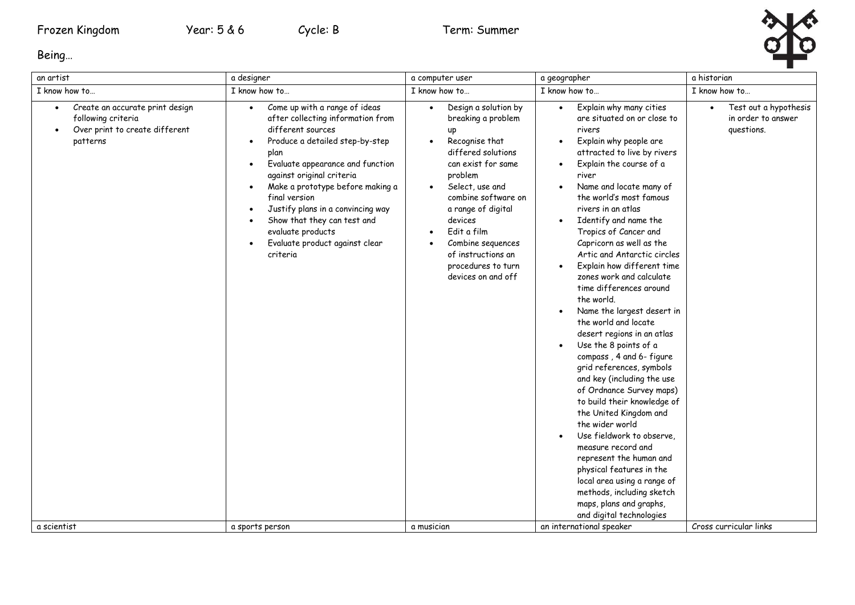

Being…

| an artist                                                                                                                       | a designer                                                                                                                                                                                                                                                                                                                                                                                                                                                             | a computer user                                                                                                                                                                                                                                                                                                                                                 | a geographer                                                                                                                                                                                                                                                                                                                                                                                                                                                                                                                                                                                                                                                                                                                                                                                                                                                                                                                                                                                                                                                                                                             | a historian                                                                         |
|---------------------------------------------------------------------------------------------------------------------------------|------------------------------------------------------------------------------------------------------------------------------------------------------------------------------------------------------------------------------------------------------------------------------------------------------------------------------------------------------------------------------------------------------------------------------------------------------------------------|-----------------------------------------------------------------------------------------------------------------------------------------------------------------------------------------------------------------------------------------------------------------------------------------------------------------------------------------------------------------|--------------------------------------------------------------------------------------------------------------------------------------------------------------------------------------------------------------------------------------------------------------------------------------------------------------------------------------------------------------------------------------------------------------------------------------------------------------------------------------------------------------------------------------------------------------------------------------------------------------------------------------------------------------------------------------------------------------------------------------------------------------------------------------------------------------------------------------------------------------------------------------------------------------------------------------------------------------------------------------------------------------------------------------------------------------------------------------------------------------------------|-------------------------------------------------------------------------------------|
| I know how to                                                                                                                   | I know how to                                                                                                                                                                                                                                                                                                                                                                                                                                                          | I know how to                                                                                                                                                                                                                                                                                                                                                   | I know how to                                                                                                                                                                                                                                                                                                                                                                                                                                                                                                                                                                                                                                                                                                                                                                                                                                                                                                                                                                                                                                                                                                            | I know how to                                                                       |
| Create an accurate print design<br>$\bullet$<br>following criteria<br>Over print to create different<br>patterns<br>a scientist | Come up with a range of ideas<br>$\bullet$<br>after collecting information from<br>different sources<br>Produce a detailed step-by-step<br>$\bullet$<br>plan<br>Evaluate appearance and function<br>$\bullet$<br>against original criteria<br>Make a prototype before making a<br>$\bullet$<br>final version<br>Justify plans in a convincing way<br>Show that they can test and<br>evaluate products<br>Evaluate product against clear<br>criteria<br>a sports person | Design a solution by<br>$\bullet$<br>breaking a problem<br>up<br>Recognise that<br>$\bullet$<br>differed solutions<br>can exist for same<br>problem<br>Select, use and<br>$\bullet$<br>combine software on<br>a range of digital<br>devices<br>Edit a film<br>Combine sequences<br>of instructions an<br>procedures to turn<br>devices on and off<br>a musician | Explain why many cities<br>$\bullet$<br>are situated on or close to<br>rivers<br>Explain why people are<br>$\bullet$<br>attracted to live by rivers<br>Explain the course of a<br>$\bullet$<br>river<br>Name and locate many of<br>$\bullet$<br>the world's most famous<br>rivers in an atlas<br>Identify and name the<br>$\bullet$<br>Tropics of Cancer and<br>Capricorn as well as the<br>Artic and Antarctic circles<br>Explain how different time<br>$\bullet$<br>zones work and calculate<br>time differences around<br>the world.<br>Name the largest desert in<br>the world and locate<br>desert regions in an atlas<br>Use the 8 points of a<br>compass, 4 and 6- figure<br>grid references, symbols<br>and key (including the use<br>of Ordnance Survey maps)<br>to build their knowledge of<br>the United Kingdom and<br>the wider world<br>Use fieldwork to observe,<br>$\bullet$<br>measure record and<br>represent the human and<br>physical features in the<br>local area using a range of<br>methods, including sketch<br>maps, plans and graphs,<br>and digital technologies<br>an international speaker | Test out a hypothesis<br>in order to answer<br>questions.<br>Cross curricular links |
|                                                                                                                                 |                                                                                                                                                                                                                                                                                                                                                                                                                                                                        |                                                                                                                                                                                                                                                                                                                                                                 |                                                                                                                                                                                                                                                                                                                                                                                                                                                                                                                                                                                                                                                                                                                                                                                                                                                                                                                                                                                                                                                                                                                          |                                                                                     |